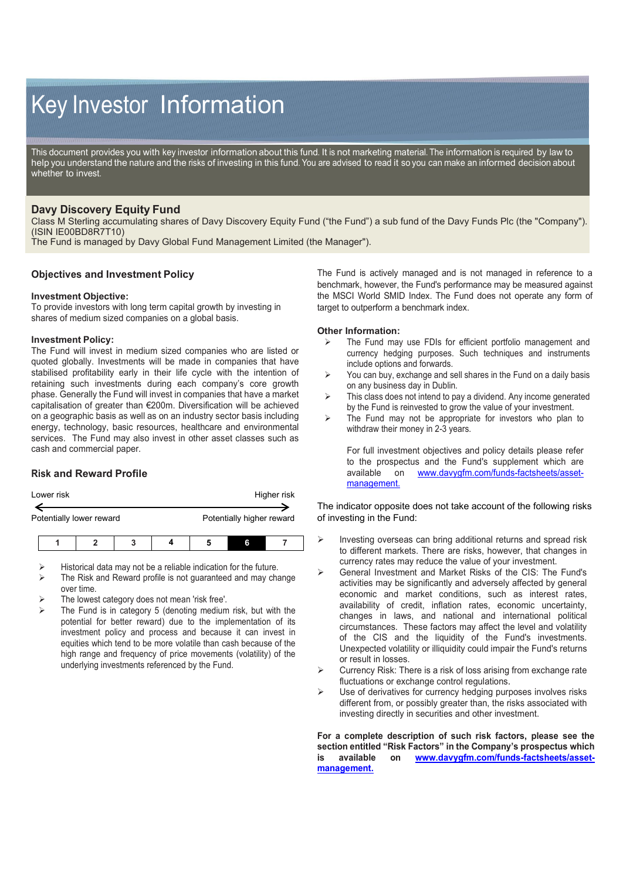# Key Investor Information

This document provides you with key investor information about this fund. It is not marketing material. The information is required by law to help you understand the nature and the risks of investing in this fund. You are advised to read it so you can make an informed decision about whether to invest.

## **Davy Discovery Equity Fund**

Class M Sterling accumulating shares of Davy Discovery Equity Fund ("the Fund") a sub fund of the Davy Funds Plc (the "Company"). (ISIN IE00BD8R7T10)

The Fund is managed by Davy Global Fund Management Limited (the Manager").

## **Objectives and Investment Policy**

#### **Investment Objective:**

To provide investors with long term capital growth by investing in shares of medium sized companies on a global basis.

#### **Investment Policy:**

The Fund will invest in medium sized companies who are listed or quoted globally. Investments will be made in companies that have stabilised profitability early in their life cycle with the intention of retaining such investments during each company's core growth phase. Generally the Fund will invest in companies that have a market capitalisation of greater than €200m. Diversification will be achieved on a geographic basis as well as on an industry sector basis including energy, technology, basic resources, healthcare and environmental services. The Fund may also invest in other asset classes such as cash and commercial paper.

## **Risk and Reward Profile**

| Lower risk | Higher risk |
|------------|-------------|
|            |             |

Potentially lower reward **Potentially higher reward** 

- Historical data may not be a reliable indication for the future.
- The Risk and Reward profile is not guaranteed and may change over time.
- The lowest category does not mean 'risk free'.
- The Fund is in category 5 (denoting medium risk, but with the potential for better reward) due to the implementation of its investment policy and process and because it can invest in equities which tend to be more volatile than cash because of the high range and frequency of price movements (volatility) of the underlying investments referenced by the Fund.

The Fund is actively managed and is not managed in reference to a benchmark, however, the Fund's performance may be measured against the MSCI World SMID Index. The Fund does not operate any form of target to outperform a benchmark index.

#### **Other Information:**

- The Fund may use FDIs for efficient portfolio management and currency hedging purposes. Such techniques and instruments include options and forwards.
- $\triangleright$  You can buy, exchange and sell shares in the Fund on a daily basis on any business day in Dublin.
- $\triangleright$  This class does not intend to pay a dividend. Any income generated by the Fund is reinvested to grow the value of your investment.
- $\triangleright$  The Fund may not be appropriate for investors who plan to withdraw their money in 2-3 years.

For full investment objectives and policy details please refer to the prospectus and the Fund's supplement which are available on www.davvafm.com/funds-factsheets/asset[www.davygfm.com/funds-factsheets/asset](http://www.davygfm.com/funds-factsheets/asset-management.)[management.](http://www.davygfm.com/funds-factsheets/asset-management.)

The indicator opposite does not take account of the following risks of investing in the Fund:

- $\triangleright$  Investing overseas can bring additional returns and spread risk to different markets. There are risks, however, that changes in currency rates may reduce the value of your investment.
- General Investment and Market Risks of the CIS: The Fund's activities may be significantly and adversely affected by general economic and market conditions, such as interest rates, availability of credit, inflation rates, economic uncertainty, changes in laws, and national and international political circumstances. These factors may affect the level and volatility of the CIS and the liquidity of the Fund's investments. Unexpected volatility or illiquidity could impair the Fund's returns or result in losses.
- $\triangleright$  Currency Risk: There is a risk of loss arising from exchange rate fluctuations or exchange control regulations.
- Use of derivatives for currency hedging purposes involves risks different from, or possibly greater than, the risks associated with investing directly in securities and other investment.

**For a complete description of such risk factors, please see the section entitled "Risk Factors" in the Company's prospectus which is available on [www.davygfm.com/funds-factsheets/asset](http://www.davygfm.com/funds-factsheets/asset-management.)[management.](http://www.davygfm.com/funds-factsheets/asset-management.)**